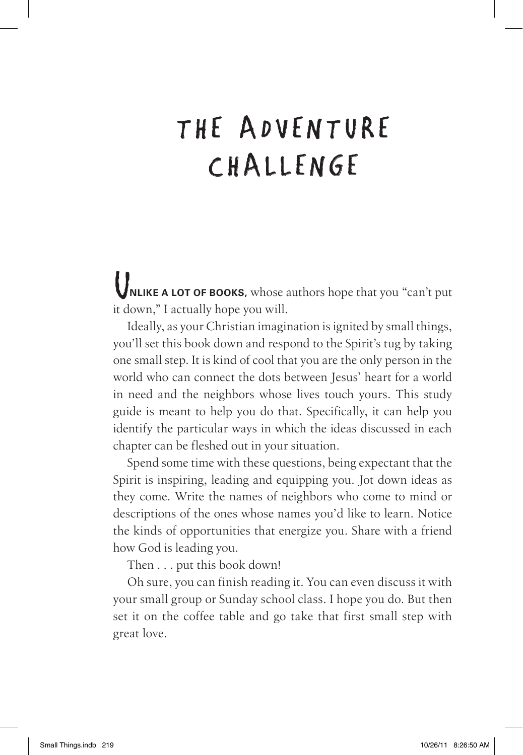## The Adventure CHALLENGE

U**nlike <sup>a</sup> lot of books,** whose authors hope that you "can't put it down," I actually hope you will.

Ideally, as your Christian imagination is ignited by small things, you'll set this book down and respond to the Spirit's tug by taking one small step. It is kind of cool that you are the only person in the world who can connect the dots between Jesus' heart for a world in need and the neighbors whose lives touch yours. This study guide is meant to help you do that. Specifically, it can help you identify the particular ways in which the ideas discussed in each chapter can be fleshed out in your situation.

Spend some time with these questions, being expectant that the Spirit is inspiring, leading and equipping you. Jot down ideas as they come. Write the names of neighbors who come to mind or descriptions of the ones whose names you'd like to learn. Notice the kinds of opportunities that energize you. Share with a friend how God is leading you.

Then ... put this book down!

Oh sure, you can finish reading it. You can even discuss it with your small group or Sunday school class. I hope you do. But then set it on the coffee table and go take that first small step with great love.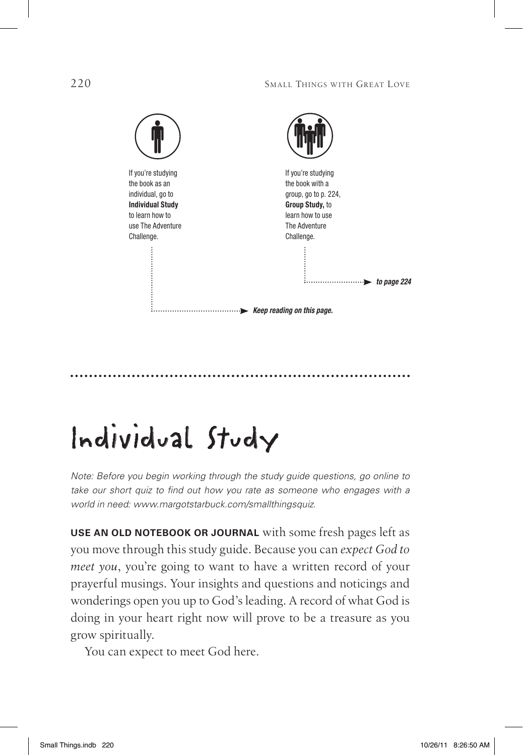

## Individual Study

*Note: Before you begin working through the study guide questions, go online to*  take our short quiz to find out how you rate as someone who engages with a *world in need: www.margotstarbuck.com/smallthingsquiz.* 

**Use an old notebook or journal** with some fresh pages left as you move through this study guide. Because you can *expect God to meet you*, you're going to want to have a written record of your prayerful musings. Your insights and questions and noticings and wonderings open you up to God's leading. A record of what God is doing in your heart right now will prove to be a treasure as you grow spiritually.

You can expect to meet God here.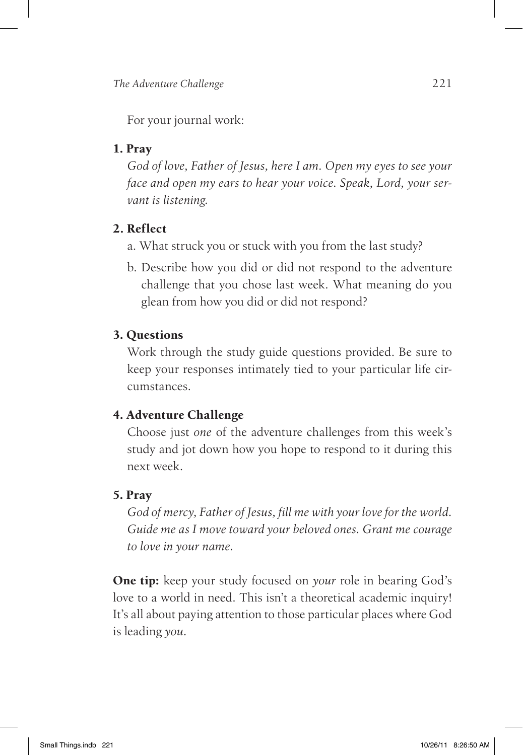For your journal work:

### **1. Pray**

*God of love, Father of Jesus, here I am. Open my eyes to see your face and open my ears to hear your voice. Speak, Lord, your servant is listening.*

## **2. Reflect**

- a. What struck you or stuck with you from the last study?
- b. Describe how you did or did not respond to the adventure challenge that you chose last week. What meaning do you glean from how you did or did not respond?

## **3. Questions**

Work through the study guide questions provided. Be sure to keep your responses intimately tied to your particular life circumstances.

## **4. Adventure Challenge**

Choose just *one* of the adventure challenges from this week's study and jot down how you hope to respond to it during this next week.

## **5. Pray**

*God of mercy, Father of Jesus, fill me with your love for the world. Guide me as I move toward your beloved ones. Grant me courage to love in your name.*

**One tip:** keep your study focused on *your* role in bearing God's love to a world in need. This isn't a theoretical academic inquiry! It's all about paying attention to those particular places where God is leading *you.*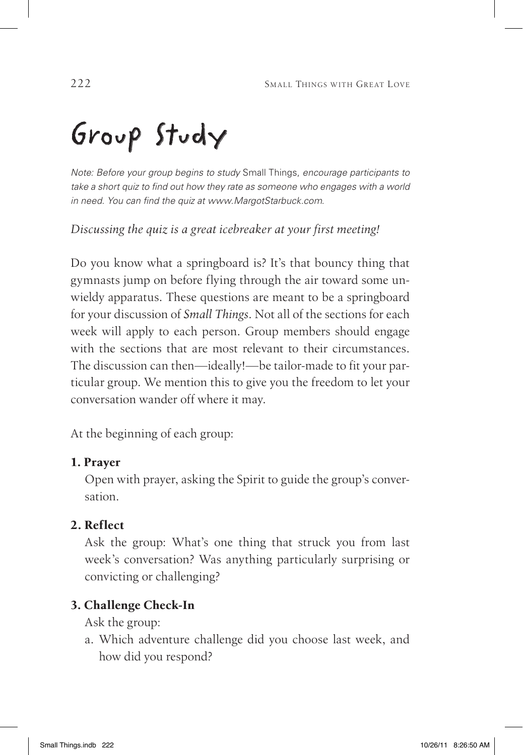# Group Study

*Note: Before your group begins to study* Small Things, *encourage participants to take a short quiz to find out how they rate as someone who engages with a world in need. You can find the quiz at www.MargotStarbuck.com*.

*Discussing the quiz is a great icebreaker at your first meeting!*

Do you know what a springboard is? It's that bouncy thing that gymnasts jump on before flying through the air toward some unwieldy apparatus. These questions are meant to be a springboard for your discussion of *Small Things*. Not all of the sections for each week will apply to each person. Group members should engage with the sections that are most relevant to their circumstances. The discussion can then—ideally!—be tailor-made to fit your particular group. We mention this to give you the freedom to let your conversation wander off where it may.

At the beginning of each group:

## **1. Prayer**

Open with prayer, asking the Spirit to guide the group's conversation.

## **2. Reflect**

Ask the group: What's one thing that struck you from last week's conversation? Was anything particularly surprising or convicting or challenging?

## **3. Challenge Check-In**

Ask the group:

a. Which adventure challenge did you choose last week, and how did you respond?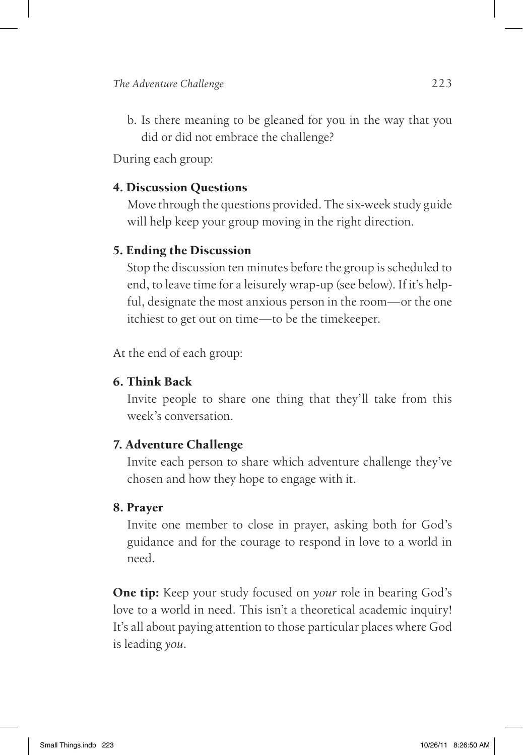b. Is there meaning to be gleaned for you in the way that you did or did not embrace the challenge?

During each group:

#### **4. Discussion Questions**

Move through the questions provided. The six-week study guide will help keep your group moving in the right direction.

#### **5. Ending the Discussion**

Stop the discussion ten minutes before the group is scheduled to end, to leave time for a leisurely wrap-up (see below). If it's helpful, designate the most anxious person in the room—or the one itchiest to get out on time—to be the timekeeper.

At the end of each group:

#### **6. Think Back**

Invite people to share one thing that they'll take from this week's conversation.

#### **7. Adventure Challenge**

Invite each person to share which adventure challenge they've chosen and how they hope to engage with it.

#### **8. Prayer**

Invite one member to close in prayer, asking both for God's guidance and for the courage to respond in love to a world in need.

**One tip:** Keep your study focused on *your* role in bearing God's love to a world in need. This isn't a theoretical academic inquiry! It's all about paying attention to those particular places where God is leading *you.*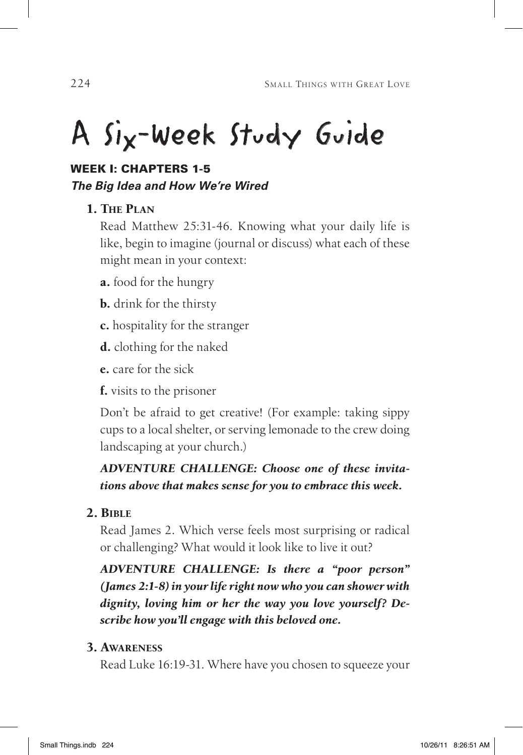# A Six-Week Study Guide

## WEEK I: Chapters 1-5 *The Big Idea and How We're Wired*

## **1. The Plan**

Read Matthew 25:31-46. Knowing what your daily life is like, begin to imagine (journal or discuss) what each of these might mean in your context:

**a.** food for the hungry

**b.** drink for the thirsty

**c.** hospitality for the stranger

**d.** clothing for the naked

**e.** care for the sick

**f.** visits to the prisoner

Don't be afraid to get creative! (For example: taking sippy cups to a local shelter, or serving lemonade to the crew doing landscaping at your church.)

## *Adventure Challenge: Choose one of these invitations above that makes sense for you to embrace this week.*

## **2. Bible**

Read James 2. Which verse feels most surprising or radical or challenging? What would it look like to live it out?

*Adventure Challenge: Is there a "poor person" (James 2:1-8) in your life right now who you can shower with dignity, loving him or her the way you love yourself? Describe how you'll engage with this beloved one.*

## **3. Awareness**

Read Luke 16:19-31. Where have you chosen to squeeze your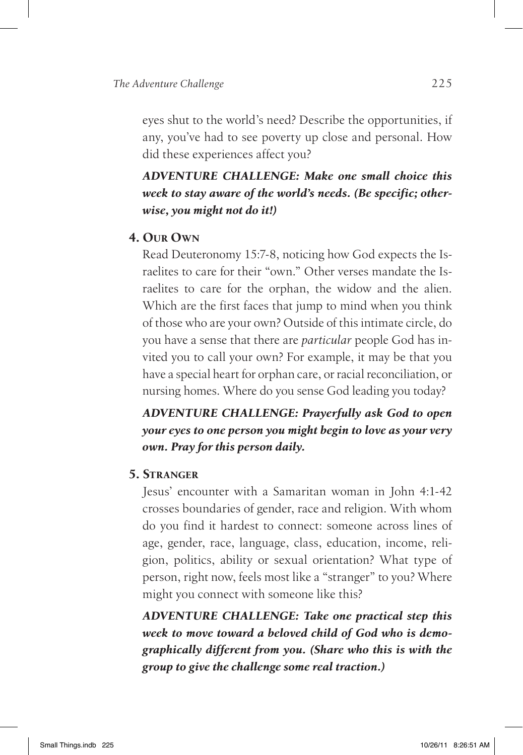eyes shut to the world's need? Describe the opportunities, if any, you've had to see poverty up close and personal. How did these experiences affect you?

## *Adventure Challenge: Make one small choice this week to stay aware of the world's needs. (Be specific; otherwise, you might not do it!)*

#### **4. Our Own**

Read Deuteronomy 15:7-8, noticing how God expects the Israelites to care for their "own." Other verses mandate the Israelites to care for the orphan, the widow and the alien. Which are the first faces that jump to mind when you think of those who are your own? Outside of this intimate circle, do you have a sense that there are *particular* people God has invited you to call your own? For example, it may be that you have a special heart for orphan care, or racial reconciliation, or nursing homes. Where do you sense God leading you today?

### *Adventure Challenge: Prayerfully ask God to open your eyes to one person you might begin to love as your very own. Pray for this person daily.*

#### **5. Stranger**

Jesus' encounter with a Samaritan woman in John 4:1-42 crosses boundaries of gender, race and religion. With whom do you find it hardest to connect: someone across lines of age, gender, race, language, class, education, income, religion, politics, ability or sexual orientation? What type of person, right now, feels most like a "stranger" to you? Where might you connect with someone like this?

*Adventure Challenge: Take one practical step this week to move toward a beloved child of God who is demographically different from you. (Share who this is with the group to give the challenge some real traction.)*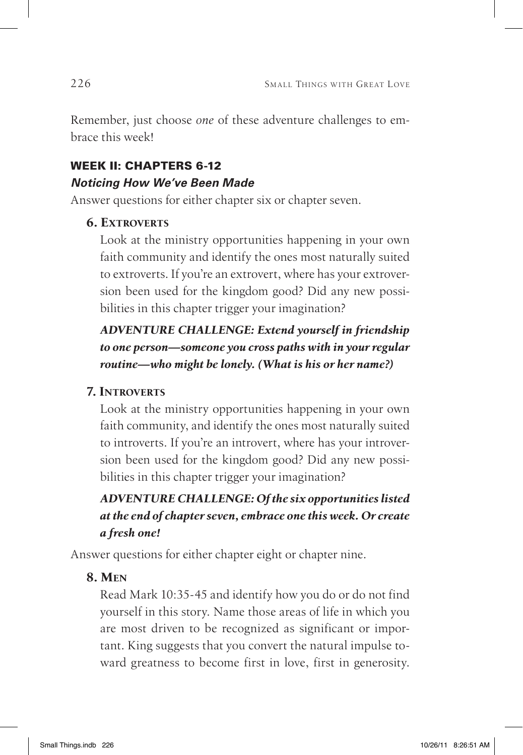Remember, just choose *one* of these adventure challenges to embrace this week!

## WEEK II: Chapters 6-12 *Noticing How We've Been Made*

Answer questions for either chapter six or chapter seven.

#### **6. Extroverts**

Look at the ministry opportunities happening in your own faith community and identify the ones most naturally suited to extroverts. If you're an extrovert, where has your extroversion been used for the kingdom good? Did any new possibilities in this chapter trigger your imagination?

## *Adventure Challenge: Extend yourself in friendship to one person—someone you cross paths with in your regular routine—who might be lonely. (What is his or her name?)*

## **7. Introverts**

Look at the ministry opportunities happening in your own faith community, and identify the ones most naturally suited to introverts. If you're an introvert, where has your introversion been used for the kingdom good? Did any new possibilities in this chapter trigger your imagination?

## *Adventure Challenge: Of the six opportunities listed at the end of chapter seven, embrace one this week. Or create a fresh one!*

Answer questions for either chapter eight or chapter nine.

## **8. Men**

Read Mark 10:35-45 and identify how you do or do not find yourself in this story. Name those areas of life in which you are most driven to be recognized as significant or important. King suggests that you convert the natural impulse toward greatness to become first in love, first in generosity.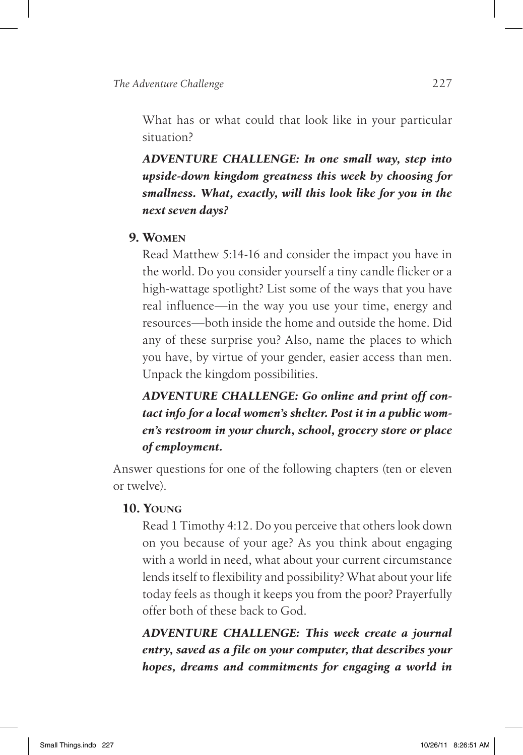What has or what could that look like in your particular situation?

*Adventure Challenge: In one small way, step into upside-down kingdom greatness this week by choosing for smallness. What, exactly, will this look like for you in the next seven days?*

#### **9. Women**

Read Matthew 5:14-16 and consider the impact you have in the world. Do you consider yourself a tiny candle flicker or a high-wattage spotlight? List some of the ways that you have real influence—in the way you use your time, energy and resources—both inside the home and outside the home. Did any of these surprise you? Also, name the places to which you have, by virtue of your gender, easier access than men. Unpack the kingdom possibilities.

## *Adventure Challenge: Go online and print off contact info for a local women's shelter. Post it in a public women's restroom in your church, school, grocery store or place of employment.*

Answer questions for one of the following chapters (ten or eleven or twelve).

#### **10. Young**

Read 1 Timothy 4:12. Do you perceive that others look down on you because of your age? As you think about engaging with a world in need, what about your current circumstance lends itself to flexibility and possibility? What about your life today feels as though it keeps you from the poor? Prayerfully offer both of these back to God.

*Adventure Challenge: This week create a journal entry, saved as a file on your computer, that describes your hopes, dreams and commitments for engaging a world in*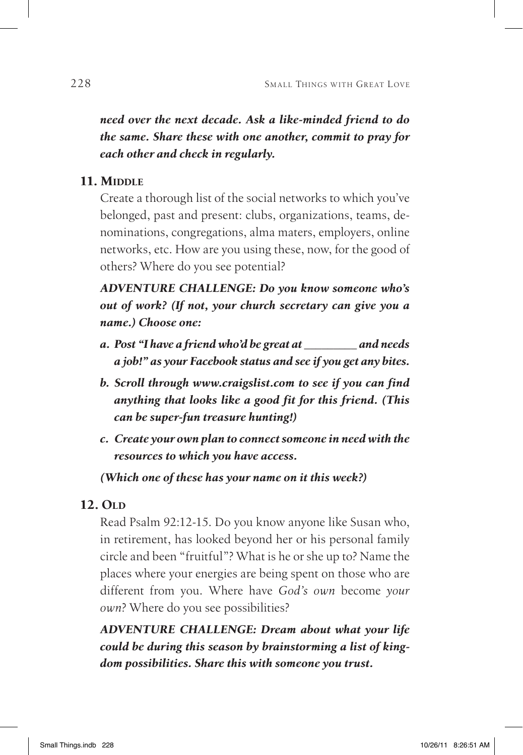*need over the next decade. Ask a like-minded friend to do the same. Share these with one another, commit to pray for each other and check in regularly.*

#### **11. MIDDLE**

Create a thorough list of the social networks to which you've belonged, past and present: clubs, organizations, teams, denominations, congregations, alma maters, employers, online networks, etc. How are you using these, now, for the good of others? Where do you see potential?

*Adventure Challenge: Do you know someone who's out of work? (If not, your church secretary can give you a name.) Choose one:*

- *a. Post "I have a friend who'd be great at \_\_\_\_\_\_\_\_\_ and needs a job!" as your Facebook status and see if you get any bites.*
- *b. Scroll through www.craigslist.com to see if you can find anything that looks like a good fit for this friend. (This can be super-fun treasure hunting!)*
- *c. Create your own plan to connect someone in need with the resources to which you have access.*

*(Which one of these has your name on it this week?)*

#### **12. OLD**

Read Psalm 92:12-15. Do you know anyone like Susan who, in retirement, has looked beyond her or his personal family circle and been "fruitful"? What is he or she up to? Name the places where your energies are being spent on those who are different from you. Where have *God's own* become *your own*? Where do you see possibilities?

*Adventure Challenge: Dream about what your life could be during this season by brainstorming a list of kingdom possibilities. Share this with someone you trust.*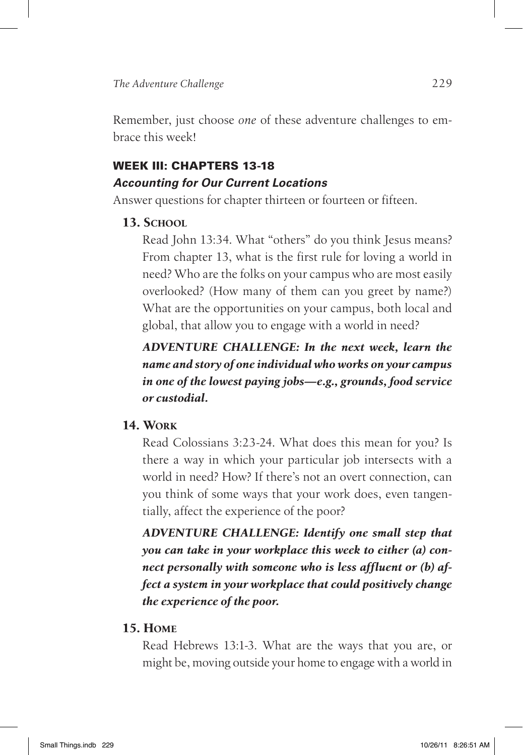Remember, just choose *one* of these adventure challenges to embrace this week!

## WEEK III: Chapters 13-18 *Accounting for Our Current Locations*

Answer questions for chapter thirteen or fourteen or fifteen.

#### **13. SCHOOL**

Read John 13:34. What "others" do you think Jesus means? From chapter 13, what is the first rule for loving a world in need? Who are the folks on your campus who are most easily overlooked? (How many of them can you greet by name?) What are the opportunities on your campus, both local and global, that allow you to engage with a world in need?

## *Adventure Challenge: In the next week, learn the name and story of one individual who works on your campus in one of the lowest paying jobs—e.g., grounds, food service or custodial.*

#### **14. Work**

Read Colossians 3:23-24. What does this mean for you? Is there a way in which your particular job intersects with a world in need? How? If there's not an overt connection, can you think of some ways that your work does, even tangentially, affect the experience of the poor?

*Adventure Challenge: Identify one small step that you can take in your workplace this week to either (a) connect personally with someone who is less affluent or (b) affect a system in your workplace that could positively change the experience of the poor.* 

#### **15. Home**

Read Hebrews 13:1-3. What are the ways that you are, or might be, moving outside your home to engage with a world in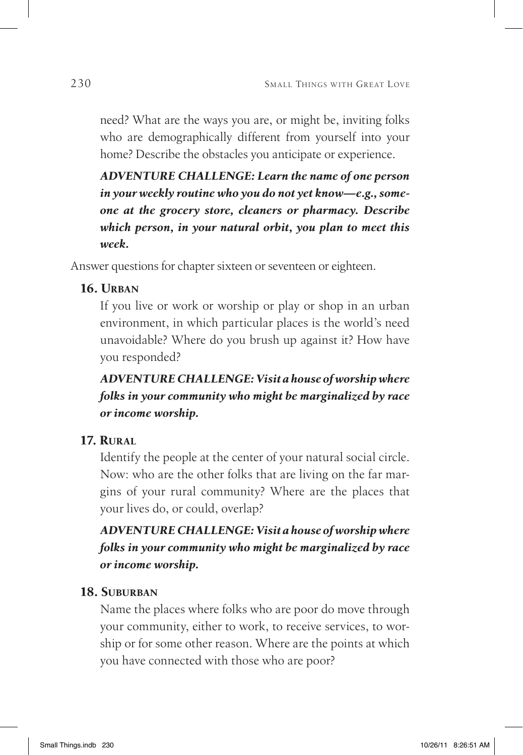need? What are the ways you are, or might be, inviting folks who are demographically different from yourself into your home? Describe the obstacles you anticipate or experience.

*Adventure Challenge: Learn the name of one person in your weekly routine who you do not yet know—e.g., someone at the grocery store, cleaners or pharmacy. Describe which person, in your natural orbit, you plan to meet this week.*

Answer questions for chapter sixteen or seventeen or eighteen.

### **16. Urban**

If you live or work or worship or play or shop in an urban environment, in which particular places is the world's need unavoidable? Where do you brush up against it? How have you responded?

## *Adventure Challenge:Visit a house of worship where folks in your community who might be marginalized by race or income worship.*

## **17. Rural**

Identify the people at the center of your natural social circle. Now: who are the other folks that are living on the far margins of your rural community? Where are the places that your lives do, or could, overlap?

## *Adventure Challenge:Visit a house of worship where folks in your community who might be marginalized by race or income worship.*

#### **18. Suburban**

Name the places where folks who are poor do move through your community, either to work, to receive services, to worship or for some other reason. Where are the points at which you have connected with those who are poor?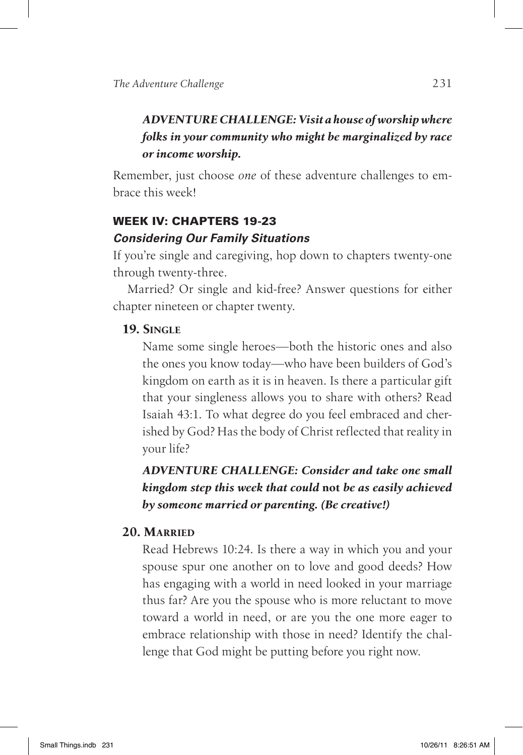## *Adventure Challenge:Visit a house of worship where folks in your community who might be marginalized by race or income worship.*

Remember, just choose *one* of these adventure challenges to embrace this week!

#### Week IV: Chapters 19-23

#### *Considering Our Family Situations*

If you're single and caregiving, hop down to chapters twenty-one through twenty-three.

Married? Or single and kid-free? Answer questions for either chapter nineteen or chapter twenty.

#### **19. Single**

Name some single heroes—both the historic ones and also the ones you know today—who have been builders of God's kingdom on earth as it is in heaven. Is there a particular gift that your singleness allows you to share with others? Read Isaiah 43:1. To what degree do you feel embraced and cherished by God? Has the body of Christ reflected that reality in your life?

## *Adventure Challenge: Consider and take one small kingdom step this week that could* **not** *be as easily achieved by someone married or parenting. (Be creative!)*

#### **20. Married**

Read Hebrews 10:24. Is there a way in which you and your spouse spur one another on to love and good deeds? How has engaging with a world in need looked in your marriage thus far? Are you the spouse who is more reluctant to move toward a world in need, or are you the one more eager to embrace relationship with those in need? Identify the challenge that God might be putting before you right now.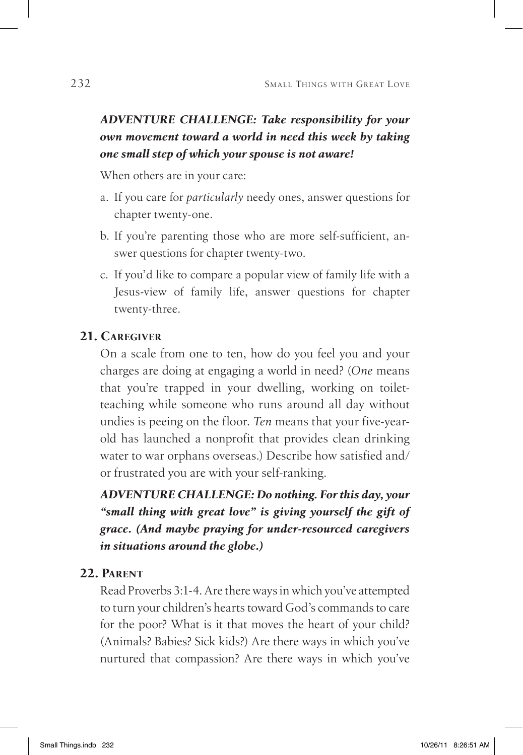## *Adventure Challenge: Take responsibility for your own movement toward a world in need this week by taking one small step of which your spouse is not aware!*

When others are in your care:

- a. If you care for *particularly* needy ones, answer questions for chapter twenty-one.
- b. If you're parenting those who are more self-sufficient, answer questions for chapter twenty-two.
- c. If you'd like to compare a popular view of family life with a Jesus-view of family life, answer questions for chapter twenty-three.

#### **21. Caregiver**

On a scale from one to ten, how do you feel you and your charges are doing at engaging a world in need? (*One* means that you're trapped in your dwelling, working on toiletteaching while someone who runs around all day without undies is peeing on the floor.*Ten* means that your five-yearold has launched a nonprofit that provides clean drinking water to war orphans overseas.) Describe how satisfied and/ or frustrated you are with your self-ranking.

*Adventure Challenge: Do nothing. For this day, your "small thing with great love" is giving yourself the gift of grace. (And maybe praying for under-resourced caregivers in situations around the globe.)* 

#### **22. Parent**

Read Proverbs 3:1-4. Are there ways in which you've attempted to turn your children's hearts toward God's commands to care for the poor? What is it that moves the heart of your child? (Animals? Babies? Sick kids?) Are there ways in which you've nurtured that compassion? Are there ways in which you've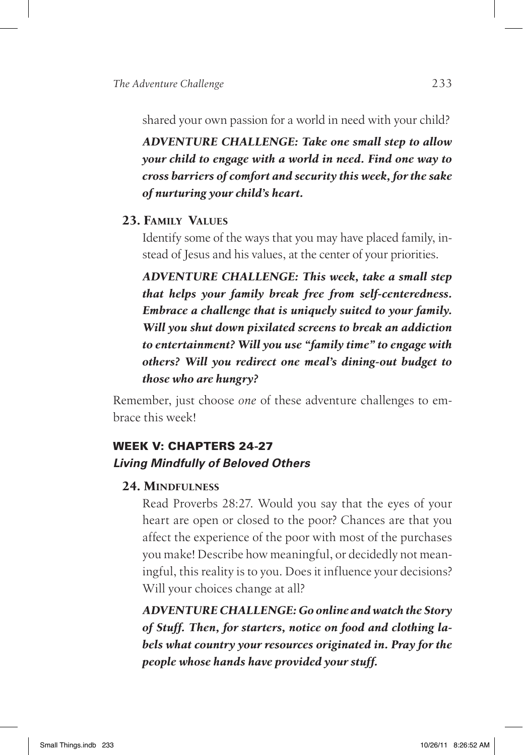shared your own passion for a world in need with your child?

*Adventure Challenge: Take one small step to allow your child to engage with a world in need. Find one way to cross barriers of comfort and security this week, for the sake of nurturing your child's heart.*

#### **23. Family Values**

Identify some of the ways that you may have placed family, instead of Jesus and his values, at the center of your priorities.

*Adventure Challenge: This week, take a small step that helps your family break free from self-centeredness. Embrace a challenge that is uniquely suited to your family. Will you shut down pixilated screens to break an addiction to entertainment? Will you use "family time" to engage with others? Will you redirect one meal's dining-out budget to those who are hungry?* 

Remember, just choose *one* of these adventure challenges to embrace this week!

## WEEK V: Chapters 24-27 *Living Mindfully of Beloved Others*

#### **24. Mindfulness**

Read Proverbs 28:27. Would you say that the eyes of your heart are open or closed to the poor? Chances are that you affect the experience of the poor with most of the purchases you make! Describe how meaningful, or decidedly not meaningful, this reality is to you. Does it influence your decisions? Will your choices change at all?

*Adventure Challenge: Go online and watch the Story of Stuff. Then, for starters, notice on food and clothing labels what country your resources originated in. Pray for the people whose hands have provided your stuff.*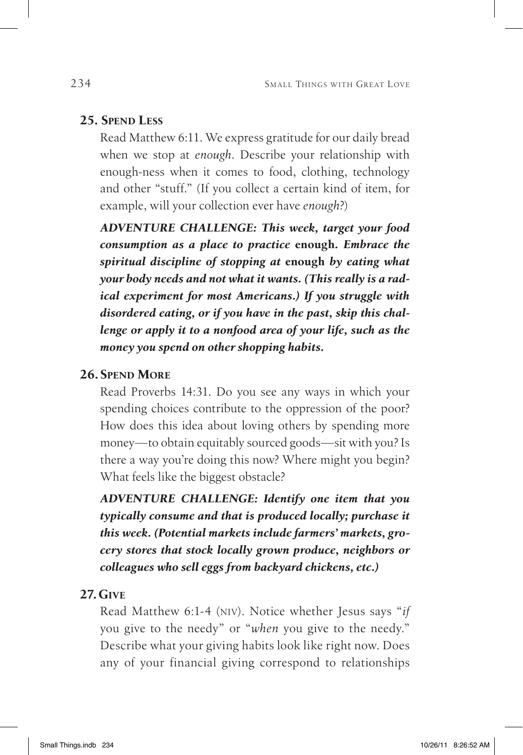#### **25. Spend Less**

Read Matthew 6:11. We express gratitude for our daily bread when we stop at *enough*. Describe your relationship with enough-ness when it comes to food, clothing, technology and other "stuff." (If you collect a certain kind of item, for example, will your collection ever have *enough*?)

*Adventure Challenge: This week, target your food consumption as a place to practice* **enough***. Embrace the spiritual discipline of stopping at* **enough** *by eating what your body needs and not what it wants. (This really is a radical experiment for most Americans.) If you struggle with disordered eating, or if you have in the past, skip this challenge or apply it to a nonfood area of your life, such as the money you spend on other shopping habits.* 

#### **26. Spend More**

Read Proverbs 14:31. Do you see any ways in which your spending choices contribute to the oppression of the poor? How does this idea about loving others by spending more money—to obtain equitably sourced goods—sit with you? Is there a way you're doing this now? Where might you begin? What feels like the biggest obstacle?

*Adventure Challenge: Identify one item that you typically consume and that is produced locally; purchase it this week. (Potential markets include farmers' markets, grocery stores that stock locally grown produce, neighbors or colleagues who sell eggs from backyard chickens, etc.)*

#### **27. Give**

Read Matthew 6:1-4 (niv). Notice whether Jesus says "*if*  you give to the needy" or "*when* you give to the needy." Describe what your giving habits look like right now. Does any of your financial giving correspond to relationships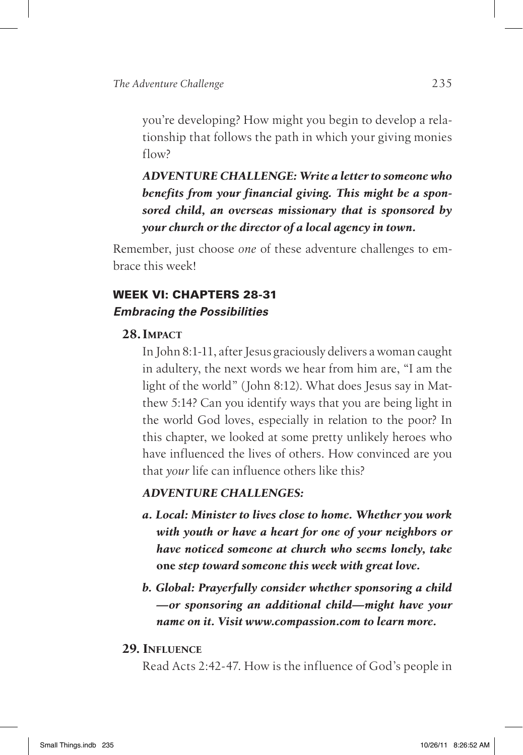you're developing? How might you begin to develop a relationship that follows the path in which your giving monies flow?

*Adventure Challenge: Write a letter to someone who benefits from your financial giving. This might be a sponsored child, an overseas missionary that is sponsored by your church or the director of a local agency in town.*

Remember, just choose *one* of these adventure challenges to embrace this week!

#### WEEK VI: Chapters 28-31 *Embracing the Possibilities*

#### **28. Impact**

In John 8:1-11, after Jesus graciously delivers a woman caught in adultery, the next words we hear from him are, "I am the light of the world" (John 8:12). What does Jesus say in Matthew 5:14? Can you identify ways that you are being light in the world God loves, especially in relation to the poor? In this chapter, we looked at some pretty unlikely heroes who have influenced the lives of others. How convinced are you that *your* life can influence others like this?

#### *Adventure Challenges:*

- *a. Local: Minister to lives close to home. Whether you work with youth or have a heart for one of your neighbors or have noticed someone at church who seems lonely, take*  **one** *step toward someone this week with great love.*
- *b. Global: Prayerfully consider whether sponsoring a child —or sponsoring an additional child—might have your name on it. Visit www.compassion.com to learn more.*
- **29. Influence**

Read Acts 2:42-47. How is the influence of God's people in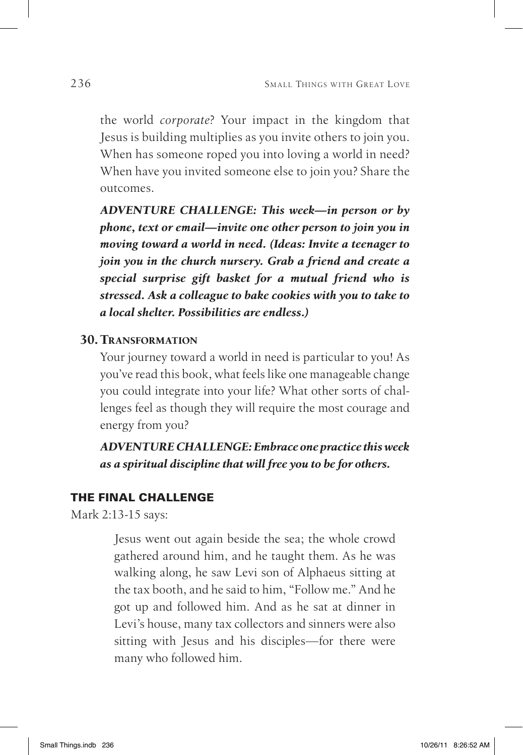the world *corporate*? Your impact in the kingdom that Jesus is building multiplies as you invite others to join you. When has someone roped you into loving a world in need? When have you invited someone else to join you? Share the outcomes.

*Adventure Challenge: This week—in person or by phone, text or email—invite one other person to join you in moving toward a world in need. (Ideas: Invite a teenager to join you in the church nursery. Grab a friend and create a special surprise gift basket for a mutual friend who is stressed. Ask a colleague to bake cookies with you to take to a local shelter. Possibilities are endless.)*

#### **30.Transformation**

Your journey toward a world in need is particular to you! As you've read this book, what feels like one manageable change you could integrate into your life? What other sorts of challenges feel as though they will require the most courage and energy from you?

*Adventure Challenge:Embrace one practice this week as a spiritual discipline that will free you to be for others.* 

#### The Final Challenge

Mark 2:13-15 says:

Jesus went out again beside the sea; the whole crowd gathered around him, and he taught them. As he was walking along, he saw Levi son of Alphaeus sitting at the tax booth, and he said to him, "Follow me." And he got up and followed him. And as he sat at dinner in Levi's house, many tax collectors and sinners were also sitting with Jesus and his disciples—for there were many who followed him.